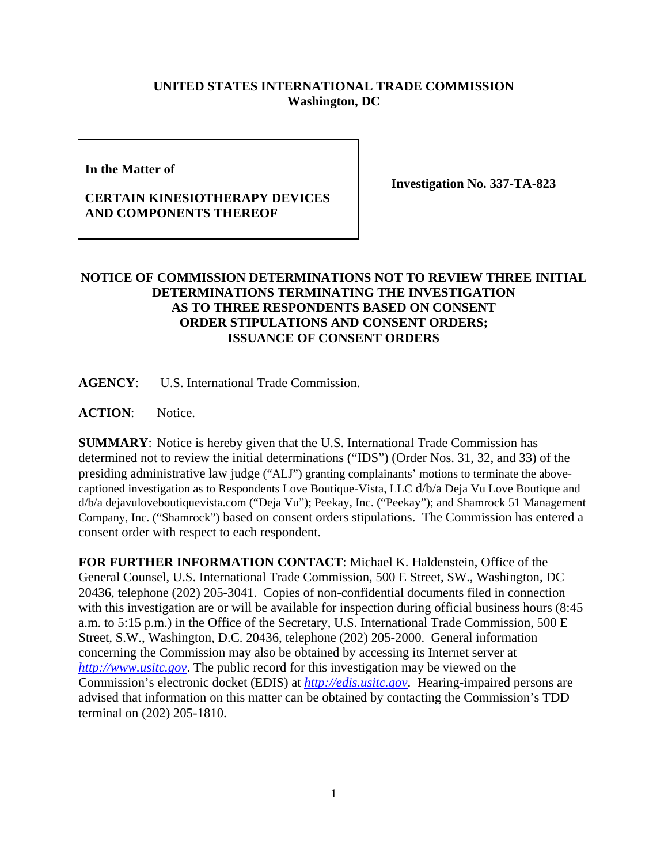## **UNITED STATES INTERNATIONAL TRADE COMMISSION Washington, DC**

**In the Matter of** 

## **CERTAIN KINESIOTHERAPY DEVICES AND COMPONENTS THEREOF**

**Investigation No. 337-TA-823** 

## **NOTICE OF COMMISSION DETERMINATIONS NOT TO REVIEW THREE INITIAL DETERMINATIONS TERMINATING THE INVESTIGATION AS TO THREE RESPONDENTS BASED ON CONSENT ORDER STIPULATIONS AND CONSENT ORDERS; ISSUANCE OF CONSENT ORDERS**

**AGENCY**: U.S. International Trade Commission.

**ACTION**: Notice.

**SUMMARY**: Notice is hereby given that the U.S. International Trade Commission has determined not to review the initial determinations ("IDS") (Order Nos. 31, 32, and 33) of the presiding administrative law judge ("ALJ") granting complainants' motions to terminate the abovecaptioned investigation as to Respondents Love Boutique-Vista, LLC d/b/a Deja Vu Love Boutique and d/b/a dejavuloveboutiquevista.com ("Deja Vu"); Peekay, Inc. ("Peekay"); and Shamrock 51 Management Company, Inc. ("Shamrock") based on consent orders stipulations. The Commission has entered a consent order with respect to each respondent.

**FOR FURTHER INFORMATION CONTACT**: Michael K. Haldenstein, Office of the General Counsel, U.S. International Trade Commission, 500 E Street, SW., Washington, DC 20436, telephone (202) 205-3041. Copies of non-confidential documents filed in connection with this investigation are or will be available for inspection during official business hours (8:45) a.m. to 5:15 p.m.) in the Office of the Secretary, U.S. International Trade Commission, 500 E Street, S.W., Washington, D.C. 20436, telephone (202) 205-2000. General information concerning the Commission may also be obtained by accessing its Internet server at *http://www.usitc.gov*. The public record for this investigation may be viewed on the Commission's electronic docket (EDIS) at *http://edis.usitc.gov*. Hearing-impaired persons are advised that information on this matter can be obtained by contacting the Commission's TDD terminal on (202) 205-1810.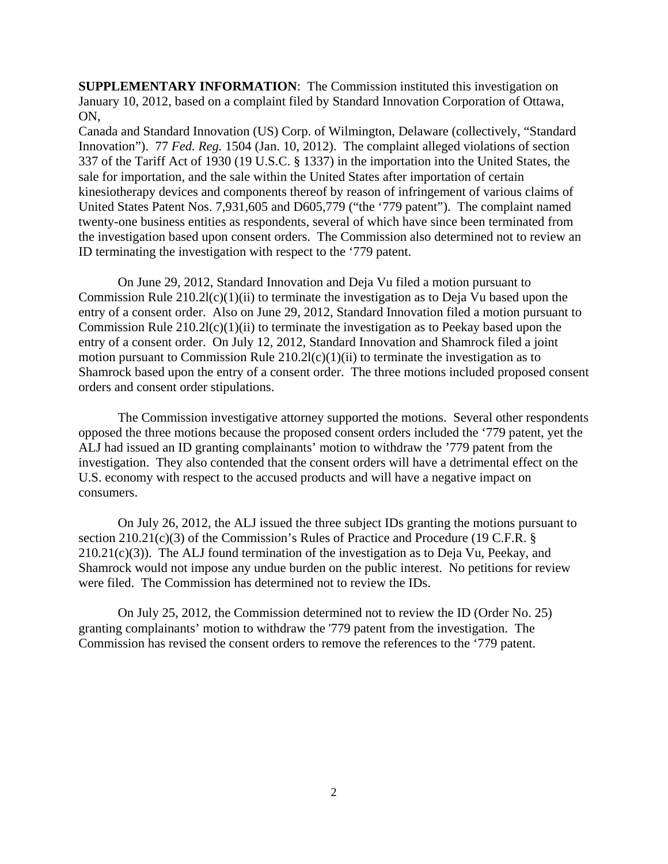**SUPPLEMENTARY INFORMATION:** The Commission instituted this investigation on January 10, 2012, based on a complaint filed by Standard Innovation Corporation of Ottawa, ON,

Canada and Standard Innovation (US) Corp. of Wilmington, Delaware (collectively, "Standard Innovation"). 77 *Fed. Reg.* 1504 (Jan. 10, 2012). The complaint alleged violations of section 337 of the Tariff Act of 1930 (19 U.S.C. § 1337) in the importation into the United States, the sale for importation, and the sale within the United States after importation of certain kinesiotherapy devices and components thereof by reason of infringement of various claims of United States Patent Nos. 7,931,605 and D605,779 ("the '779 patent"). The complaint named twenty-one business entities as respondents, several of which have since been terminated from the investigation based upon consent orders. The Commission also determined not to review an ID terminating the investigation with respect to the '779 patent.

 On June 29, 2012, Standard Innovation and Deja Vu filed a motion pursuant to Commission Rule  $210.2l(c)(1)(ii)$  to terminate the investigation as to Deja Vu based upon the entry of a consent order. Also on June 29, 2012, Standard Innovation filed a motion pursuant to Commission Rule  $210.2l(c)(1)(ii)$  to terminate the investigation as to Peekay based upon the entry of a consent order. On July 12, 2012, Standard Innovation and Shamrock filed a joint motion pursuant to Commission Rule  $210.2l(c)(1)(ii)$  to terminate the investigation as to Shamrock based upon the entry of a consent order. The three motions included proposed consent orders and consent order stipulations.

 The Commission investigative attorney supported the motions. Several other respondents opposed the three motions because the proposed consent orders included the '779 patent, yet the ALJ had issued an ID granting complainants' motion to withdraw the '779 patent from the investigation. They also contended that the consent orders will have a detrimental effect on the U.S. economy with respect to the accused products and will have a negative impact on consumers.

 On July 26, 2012, the ALJ issued the three subject IDs granting the motions pursuant to section 210.21(c)(3) of the Commission's Rules of Practice and Procedure (19 C.F.R. §  $210.21(c)(3)$ ). The ALJ found termination of the investigation as to Deja Vu, Peekay, and Shamrock would not impose any undue burden on the public interest. No petitions for review were filed. The Commission has determined not to review the IDs.

 On July 25, 2012, the Commission determined not to review the ID (Order No. 25) granting complainants' motion to withdraw the '779 patent from the investigation. The Commission has revised the consent orders to remove the references to the '779 patent.